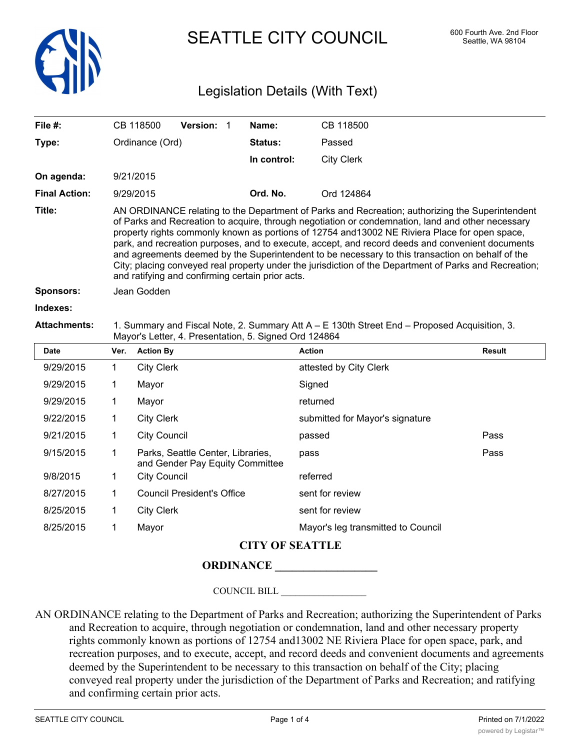

SEATTLE CITY COUNCIL 600 Fourth Ave. 2nd Floor

# Legislation Details (With Text)

| File #:              | <b>Version:</b><br>CB 118500                                                                                                                                                                                                                                                                                                                                                                                                                                                                                                                                                                                                                                                 | Name:          | CB 118500         |  |  |  |
|----------------------|------------------------------------------------------------------------------------------------------------------------------------------------------------------------------------------------------------------------------------------------------------------------------------------------------------------------------------------------------------------------------------------------------------------------------------------------------------------------------------------------------------------------------------------------------------------------------------------------------------------------------------------------------------------------------|----------------|-------------------|--|--|--|
| Type:                | Ordinance (Ord)                                                                                                                                                                                                                                                                                                                                                                                                                                                                                                                                                                                                                                                              | <b>Status:</b> | Passed            |  |  |  |
|                      |                                                                                                                                                                                                                                                                                                                                                                                                                                                                                                                                                                                                                                                                              | In control:    | <b>City Clerk</b> |  |  |  |
| On agenda:           | 9/21/2015                                                                                                                                                                                                                                                                                                                                                                                                                                                                                                                                                                                                                                                                    |                |                   |  |  |  |
| <b>Final Action:</b> | 9/29/2015                                                                                                                                                                                                                                                                                                                                                                                                                                                                                                                                                                                                                                                                    | Ord. No.       | Ord 124864        |  |  |  |
| Title:               | AN ORDINANCE relating to the Department of Parks and Recreation; authorizing the Superintendent<br>of Parks and Recreation to acquire, through negotiation or condemnation, land and other necessary<br>property rights commonly known as portions of 12754 and 13002 NE Riviera Place for open space,<br>park, and recreation purposes, and to execute, accept, and record deeds and convenient documents<br>and agreements deemed by the Superintendent to be necessary to this transaction on behalf of the<br>City; placing conveyed real property under the jurisdiction of the Department of Parks and Recreation;<br>and ratifying and confirming certain prior acts. |                |                   |  |  |  |
| Sponsors:            | Jean Godden                                                                                                                                                                                                                                                                                                                                                                                                                                                                                                                                                                                                                                                                  |                |                   |  |  |  |
| <b>Indexes</b>       |                                                                                                                                                                                                                                                                                                                                                                                                                                                                                                                                                                                                                                                                              |                |                   |  |  |  |

#### **Attachments:** 1. Summary and Fiscal Note, 2. Summary Att A – E 130th Street End – Proposed Acquisition, 3. Mayor's Letter, 4. Presentation, 5. Signed Ord 124864

| <b>Date</b> | Ver. | <b>Action By</b>                                                     | <b>Action</b>                      | Result |  |
|-------------|------|----------------------------------------------------------------------|------------------------------------|--------|--|
| 9/29/2015   | 1    | <b>City Clerk</b>                                                    | attested by City Clerk             |        |  |
| 9/29/2015   |      | Mayor                                                                | Signed                             |        |  |
| 9/29/2015   |      | Mayor                                                                | returned                           |        |  |
| 9/22/2015   |      | <b>City Clerk</b>                                                    | submitted for Mayor's signature    |        |  |
| 9/21/2015   |      | <b>City Council</b>                                                  | passed                             | Pass   |  |
| 9/15/2015   | 1    | Parks, Seattle Center, Libraries,<br>and Gender Pay Equity Committee | pass                               | Pass   |  |
| 9/8/2015    | 1    | <b>City Council</b>                                                  | referred                           |        |  |
| 8/27/2015   | 1    | <b>Council President's Office</b>                                    | sent for review                    |        |  |
| 8/25/2015   | 1    | <b>City Clerk</b>                                                    | sent for review                    |        |  |
| 8/25/2015   |      | Mayor                                                                | Mayor's leg transmitted to Council |        |  |
|             |      |                                                                      |                                    |        |  |

## **CITY OF SEATTLE**

#### **ORDINANCE \_\_\_\_\_\_\_\_\_\_\_\_\_\_\_\_\_\_**

COUNCIL BILL \_\_\_\_\_\_\_\_\_\_\_\_\_\_\_\_\_\_

AN ORDINANCE relating to the Department of Parks and Recreation; authorizing the Superintendent of Parks and Recreation to acquire, through negotiation or condemnation, land and other necessary property rights commonly known as portions of 12754 and13002 NE Riviera Place for open space, park, and recreation purposes, and to execute, accept, and record deeds and convenient documents and agreements deemed by the Superintendent to be necessary to this transaction on behalf of the City; placing conveyed real property under the jurisdiction of the Department of Parks and Recreation; and ratifying and confirming certain prior acts.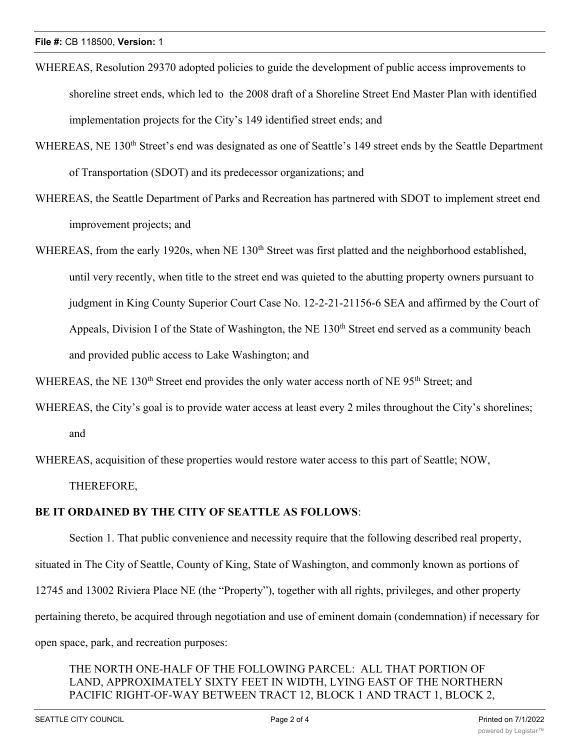- WHEREAS, Resolution 29370 adopted policies to guide the development of public access improvements to shoreline street ends, which led to the 2008 draft of a Shoreline Street End Master Plan with identified implementation projects for the City's 149 identified street ends; and
- WHEREAS, NE 130<sup>th</sup> Street's end was designated as one of Seattle's 149 street ends by the Seattle Department of Transportation (SDOT) and its predecessor organizations; and
- WHEREAS, the Seattle Department of Parks and Recreation has partnered with SDOT to implement street end improvement projects; and
- WHEREAS, from the early 1920s, when NE 130<sup>th</sup> Street was first platted and the neighborhood established, until very recently, when title to the street end was quieted to the abutting property owners pursuant to judgment in King County Superior Court Case No. 12-2-21-21156-6 SEA and affirmed by the Court of Appeals, Division I of the State of Washington, the NE 130<sup>th</sup> Street end served as a community beach and provided public access to Lake Washington; and

WHEREAS, the NE 130<sup>th</sup> Street end provides the only water access north of NE 95<sup>th</sup> Street; and

- WHEREAS, the City's goal is to provide water access at least every 2 miles throughout the City's shorelines; and
- WHEREAS, acquisition of these properties would restore water access to this part of Seattle; NOW, THEREFORE,

#### **BE IT ORDAINED BY THE CITY OF SEATTLE AS FOLLOWS**:

Section 1. That public convenience and necessity require that the following described real property, situated in The City of Seattle, County of King, State of Washington, and commonly known as portions of 12745 and 13002 Riviera Place NE (the "Property"), together with all rights, privileges, and other property pertaining thereto, be acquired through negotiation and use of eminent domain (condemnation) if necessary for open space, park, and recreation purposes:

### THE NORTH ONE-HALF OF THE FOLLOWING PARCEL: ALL THAT PORTION OF LAND, APPROXIMATELY SIXTY FEET IN WIDTH, LYING EAST OF THE NORTHERN PACIFIC RIGHT-OF-WAY BETWEEN TRACT 12, BLOCK 1 AND TRACT 1, BLOCK 2,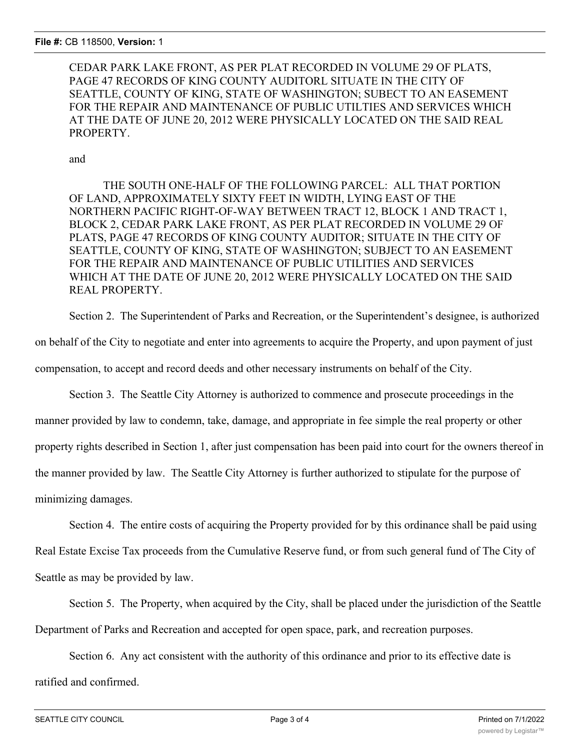CEDAR PARK LAKE FRONT, AS PER PLAT RECORDED IN VOLUME 29 OF PLATS, PAGE 47 RECORDS OF KING COUNTY AUDITORL SITUATE IN THE CITY OF SEATTLE, COUNTY OF KING, STATE OF WASHINGTON; SUBECT TO AN EASEMENT FOR THE REPAIR AND MAINTENANCE OF PUBLIC UTILTIES AND SERVICES WHICH AT THE DATE OF JUNE 20, 2012 WERE PHYSICALLY LOCATED ON THE SAID REAL PROPERTY.

and

THE SOUTH ONE-HALF OF THE FOLLOWING PARCEL: ALL THAT PORTION OF LAND, APPROXIMATELY SIXTY FEET IN WIDTH, LYING EAST OF THE NORTHERN PACIFIC RIGHT-OF-WAY BETWEEN TRACT 12, BLOCK 1 AND TRACT 1, BLOCK 2, CEDAR PARK LAKE FRONT, AS PER PLAT RECORDED IN VOLUME 29 OF PLATS, PAGE 47 RECORDS OF KING COUNTY AUDITOR; SITUATE IN THE CITY OF SEATTLE, COUNTY OF KING, STATE OF WASHINGTON; SUBJECT TO AN EASEMENT FOR THE REPAIR AND MAINTENANCE OF PUBLIC UTILITIES AND SERVICES WHICH AT THE DATE OF JUNE 20, 2012 WERE PHYSICALLY LOCATED ON THE SAID REAL PROPERTY.

Section 2. The Superintendent of Parks and Recreation, or the Superintendent's designee, is authorized

on behalf of the City to negotiate and enter into agreements to acquire the Property, and upon payment of just compensation, to accept and record deeds and other necessary instruments on behalf of the City.

Section 3. The Seattle City Attorney is authorized to commence and prosecute proceedings in the manner provided by law to condemn, take, damage, and appropriate in fee simple the real property or other property rights described in Section 1, after just compensation has been paid into court for the owners thereof in the manner provided by law. The Seattle City Attorney is further authorized to stipulate for the purpose of minimizing damages.

Section 4. The entire costs of acquiring the Property provided for by this ordinance shall be paid using Real Estate Excise Tax proceeds from the Cumulative Reserve fund, or from such general fund of The City of Seattle as may be provided by law.

Section 5. The Property, when acquired by the City, shall be placed under the jurisdiction of the Seattle Department of Parks and Recreation and accepted for open space, park, and recreation purposes.

Section 6. Any act consistent with the authority of this ordinance and prior to its effective date is ratified and confirmed.